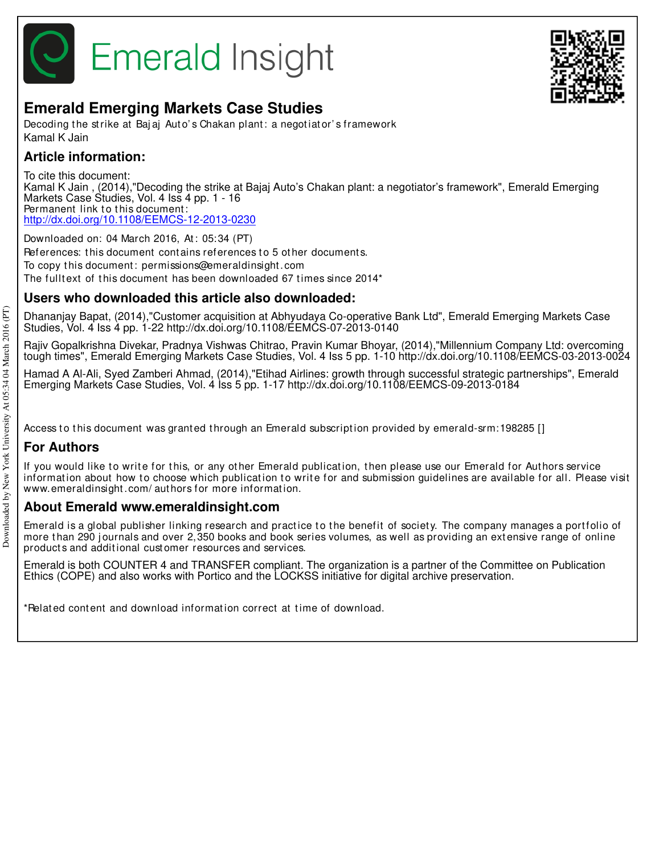



Decoding the strike at Bajaj Auto's Chakan plant: a negotiator's framework Kamal K Jain

# **Article information:**

To cite this document:

Kamal K Jain , (2014),"Decoding the strike at Bajaj Auto's Chakan plant: a negotiator's framework", Emerald Emerging Markets Case Studies, Vol. 4 Iss 4 pp. 1 - 16 Permanent link to this document: http://dx.doi.org/10.1108/EEMCS-12-2013-0230

Downloaded on: 04 March 2016, At : 05:34 (PT) References: this document contains references to 5 other documents. To copy t his document : permissions@emeraldinsight .com The fulltext of this document has been downloaded 67 times since 2014\*

# **Users who downloaded this article also downloaded:**

Dhananjay Bapat, (2014),"Customer acquisition at Abhyudaya Co-operative Bank Ltd", Emerald Emerging Markets Case Studies, Vol. 4 Iss 4 pp. 1-22 http://dx.doi.org/10.1108/EEMCS-07-2013-0140

Rajiv Gopalkrishna Divekar, Pradnya Vishwas Chitrao, Pravin Kumar Bhoyar, (2014),"Millennium Company Ltd: overcoming tough times", Emerald Emerging Markets Case Studies, Vol. 4 Iss 5 pp. 1-10 http://dx.doi.org/10.1108/EEMCS-03-2013-0024

Hamad A Al-Ali, Syed Zamberi Ahmad, (2014),"Etihad Airlines: growth through successful strategic partnerships", Emerald Emerging Markets Case Studies, Vol. 4 Iss 5 pp. 1-17 http://dx.doi.org/10.1108/EEMCS-09-2013-0184

Access to this document was granted through an Emerald subscription provided by emerald-srm: 198285 []

# **For Authors**

If you would like to write for this, or any other Emerald publication, then please use our Emerald for Authors service information about how to choose which publication to write for and submission guidelines are available for all. Please visit www.emeraldinsight.com/ authors for more information.

# **About Emerald www.emeraldinsight.com**

Emerald is a global publisher linking research and practice to the benefit of society. The company manages a portfolio of more than 290 journals and over 2,350 books and book series volumes, as well as providing an extensive range of online product s and addit ional cust omer resources and services.

Emerald is both COUNTER 4 and TRANSFER compliant. The organization is a partner of the Committee on Publication Ethics (COPE) and also works with Portico and the LOCKSS initiative for digital archive preservation.

\*Relat ed cont ent and download informat ion correct at t ime of download.

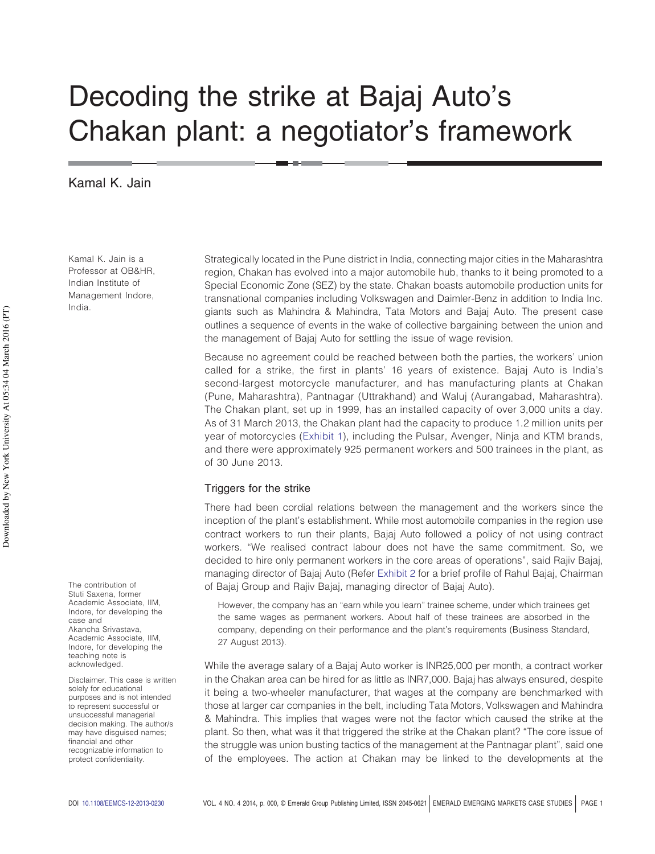# Decoding the strike at Bajaj Auto's Chakan plant: a negotiator's framework

## Kamal K. Jain

Kamal K. Jain is a Professor at OB&HR, Indian Institute of Management Indore, India.

The contribution of Stuti Saxena, former Academic Associate, IIM, Indore, for developing the case and Akancha Srivastava, Academic Associate, IIM, Indore, for developing the teaching note is acknowledged.

Disclaimer. This case is written solely for educational purposes and is not intended to represent successful or unsuccessful managerial decision making. The author/s may have disguised names; financial and other recognizable information to protect confidentiality.

Strategically located in the Pune district in India, connecting major cities in the Maharashtra region, Chakan has evolved into a major automobile hub, thanks to it being promoted to a Special Economic Zone (SEZ) by the state. Chakan boasts automobile production units for transnational companies including Volkswagen and Daimler-Benz in addition to India Inc. giants such as Mahindra & Mahindra, Tata Motors and Bajaj Auto. The present case outlines a sequence of events in the wake of collective bargaining between the union and the management of Bajaj Auto for settling the issue of wage revision.

Because no agreement could be reached between both the parties, the workers' union called for a strike, the first in plants' 16 years of existence. Bajaj Auto is India's second-largest motorcycle manufacturer, and has manufacturing plants at Chakan (Pune, Maharashtra), Pantnagar (Uttrakhand) and Waluj (Aurangabad, Maharashtra). The Chakan plant, set up in 1999, has an installed capacity of over 3,000 units a day. As of 31 March 2013, the Chakan plant had the capacity to produce 1.2 million units per year of motorcycles (Exhibit 1), including the Pulsar, Avenger, Ninja and KTM brands, and there were approximately 925 permanent workers and 500 trainees in the plant, as of 30 June 2013.

## Triggers for the strike

There had been cordial relations between the management and the workers since the inception of the plant's establishment. While most automobile companies in the region use contract workers to run their plants, Bajaj Auto followed a policy of not using contract workers. "We realised contract labour does not have the same commitment. So, we decided to hire only permanent workers in the core areas of operations", said Rajiv Bajaj, managing director of Bajaj Auto (Refer Exhibit 2 for a brief profile of Rahul Bajaj, Chairman of Bajaj Group and Rajiv Bajaj, managing director of Bajaj Auto).

However, the company has an "earn while you learn" trainee scheme, under which trainees get the same wages as permanent workers. About half of these trainees are absorbed in the company, depending on their performance and the plant's requirements (Business Standard, 27 August 2013).

While the average salary of a Bajaj Auto worker is INR25,000 per month, a contract worker in the Chakan area can be hired for as little as INR7,000. Bajaj has always ensured, despite it being a two-wheeler manufacturer, that wages at the company are benchmarked with those at larger car companies in the belt, including Tata Motors, Volkswagen and Mahindra & Mahindra. This implies that wages were not the factor which caused the strike at the plant. So then, what was it that triggered the strike at the Chakan plant? "The core issue of the struggle was union busting tactics of the management at the Pantnagar plant", said one of the employees. The action at Chakan may be linked to the developments at the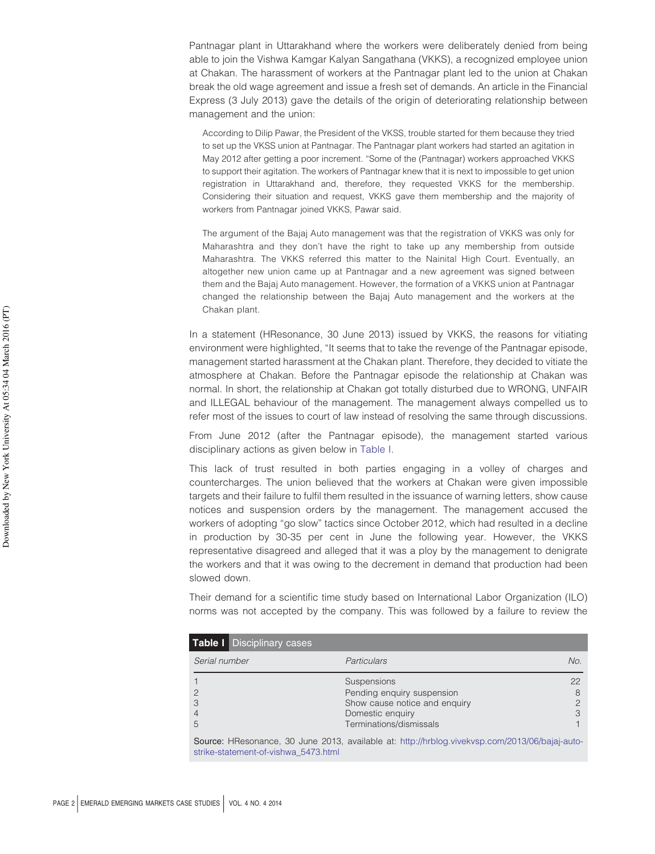Pantnagar plant in Uttarakhand where the workers were deliberately denied from being able to join the Vishwa Kamgar Kalyan Sangathana (VKKS), a recognized employee union at Chakan. The harassment of workers at the Pantnagar plant led to the union at Chakan break the old wage agreement and issue a fresh set of demands. An article in the Financial Express (3 July 2013) gave the details of the origin of deteriorating relationship between management and the union:

According to Dilip Pawar, the President of the VKSS, trouble started for them because they tried to set up the VKSS union at Pantnagar. The Pantnagar plant workers had started an agitation in May 2012 after getting a poor increment. "Some of the (Pantnagar) workers approached VKKS to support their agitation. The workers of Pantnagar knew that it is next to impossible to get union registration in Uttarakhand and, therefore, they requested VKKS for the membership. Considering their situation and request, VKKS gave them membership and the majority of workers from Pantnagar joined VKKS, Pawar said.

The argument of the Bajaj Auto management was that the registration of VKKS was only for Maharashtra and they don't have the right to take up any membership from outside Maharashtra. The VKKS referred this matter to the Nainital High Court. Eventually, an altogether new union came up at Pantnagar and a new agreement was signed between them and the Bajaj Auto management. However, the formation of a VKKS union at Pantnagar changed the relationship between the Bajaj Auto management and the workers at the Chakan plant.

In a statement (HResonance, 30 June 2013) issued by VKKS, the reasons for vitiating environment were highlighted, "It seems that to take the revenge of the Pantnagar episode, management started harassment at the Chakan plant. Therefore, they decided to vitiate the atmosphere at Chakan. Before the Pantnagar episode the relationship at Chakan was normal. In short, the relationship at Chakan got totally disturbed due to WRONG, UNFAIR and ILLEGAL behaviour of the management. The management always compelled us to refer most of the issues to court of law instead of resolving the same through discussions.

From June 2012 (after the Pantnagar episode), the management started various disciplinary actions as given below in Table I.

This lack of trust resulted in both parties engaging in a volley of charges and countercharges. The union believed that the workers at Chakan were given impossible targets and their failure to fulfil them resulted in the issuance of warning letters, show cause notices and suspension orders by the management. The management accused the workers of adopting "go slow" tactics since October 2012, which had resulted in a decline in production by 30-35 per cent in June the following year. However, the VKKS representative disagreed and alleged that it was a ploy by the management to denigrate the workers and that it was owing to the decrement in demand that production had been slowed down.

Their demand for a scientific time study based on International Labor Organization (ILO) norms was not accepted by the company. This was followed by a failure to review the

| <b>Table I</b> Disciplinary cases |                                                                                                                                        |     |
|-----------------------------------|----------------------------------------------------------------------------------------------------------------------------------------|-----|
| Serial number                     | <b>Particulars</b>                                                                                                                     | No. |
|                                   | Suspensions                                                                                                                            | 22  |
| $\overline{c}$                    | Pending enquiry suspension                                                                                                             | 8   |
| 3                                 | Show cause notice and enquiry                                                                                                          |     |
| $\overline{4}$                    | Domestic enquiry                                                                                                                       |     |
| 5                                 | Terminations/dismissals                                                                                                                |     |
|                                   | Source: HResonance, 30 June 2013, available at: http://hrblog.vivekvsp.com/2013/06/bajaj-auto-<br>strike-statement-of-vishwa_5473.html |     |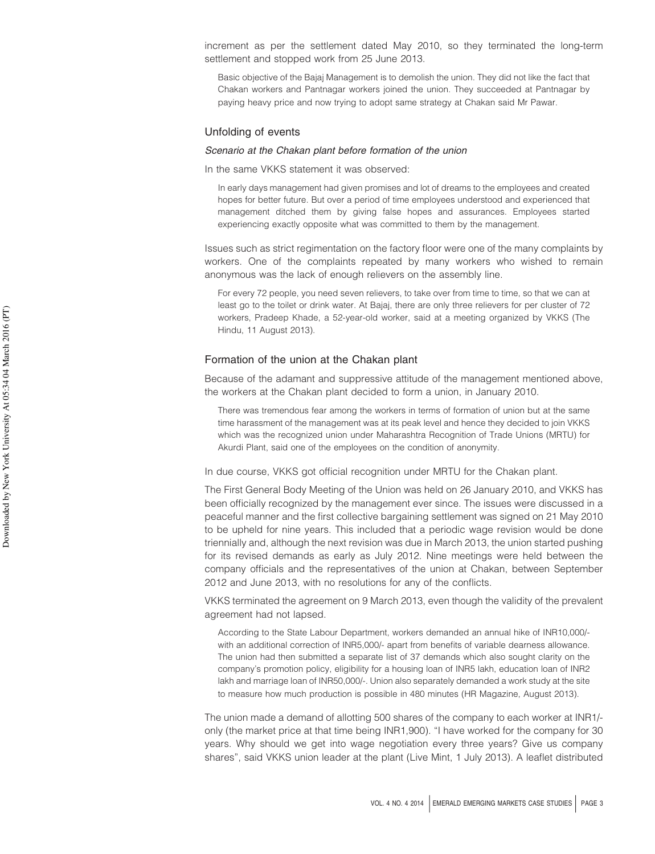increment as per the settlement dated May 2010, so they terminated the long-term settlement and stopped work from 25 June 2013.

Basic objective of the Bajaj Management is to demolish the union. They did not like the fact that Chakan workers and Pantnagar workers joined the union. They succeeded at Pantnagar by paying heavy price and now trying to adopt same strategy at Chakan said Mr Pawar.

#### Unfolding of events

#### Scenario at the Chakan plant before formation of the union

In the same VKKS statement it was observed:

In early days management had given promises and lot of dreams to the employees and created hopes for better future. But over a period of time employees understood and experienced that management ditched them by giving false hopes and assurances. Employees started experiencing exactly opposite what was committed to them by the management.

Issues such as strict regimentation on the factory floor were one of the many complaints by workers. One of the complaints repeated by many workers who wished to remain anonymous was the lack of enough relievers on the assembly line.

For every 72 people, you need seven relievers, to take over from time to time, so that we can at least go to the toilet or drink water. At Bajaj, there are only three relievers for per cluster of 72 workers, Pradeep Khade, a 52-year-old worker, said at a meeting organized by VKKS (The Hindu, 11 August 2013).

## Formation of the union at the Chakan plant

Because of the adamant and suppressive attitude of the management mentioned above, the workers at the Chakan plant decided to form a union, in January 2010.

There was tremendous fear among the workers in terms of formation of union but at the same time harassment of the management was at its peak level and hence they decided to join VKKS which was the recognized union under Maharashtra Recognition of Trade Unions (MRTU) for Akurdi Plant, said one of the employees on the condition of anonymity.

In due course, VKKS got official recognition under MRTU for the Chakan plant.

The First General Body Meeting of the Union was held on 26 January 2010, and VKKS has been officially recognized by the management ever since. The issues were discussed in a peaceful manner and the first collective bargaining settlement was signed on 21 May 2010 to be upheld for nine years. This included that a periodic wage revision would be done triennially and, although the next revision was due in March 2013, the union started pushing for its revised demands as early as July 2012. Nine meetings were held between the company officials and the representatives of the union at Chakan, between September 2012 and June 2013, with no resolutions for any of the conflicts.

VKKS terminated the agreement on 9 March 2013, even though the validity of the prevalent agreement had not lapsed.

According to the State Labour Department, workers demanded an annual hike of INR10,000/ with an additional correction of INR5,000/- apart from benefits of variable dearness allowance. The union had then submitted a separate list of 37 demands which also sought clarity on the company's promotion policy, eligibility for a housing loan of INR5 lakh, education loan of INR2 lakh and marriage loan of INR50,000/-. Union also separately demanded a work study at the site to measure how much production is possible in 480 minutes (HR Magazine, August 2013).

The union made a demand of allotting 500 shares of the company to each worker at INR1/ only (the market price at that time being INR1,900). "I have worked for the company for 30 years. Why should we get into wage negotiation every three years? Give us company shares", said VKKS union leader at the plant (Live Mint, 1 July 2013). A leaflet distributed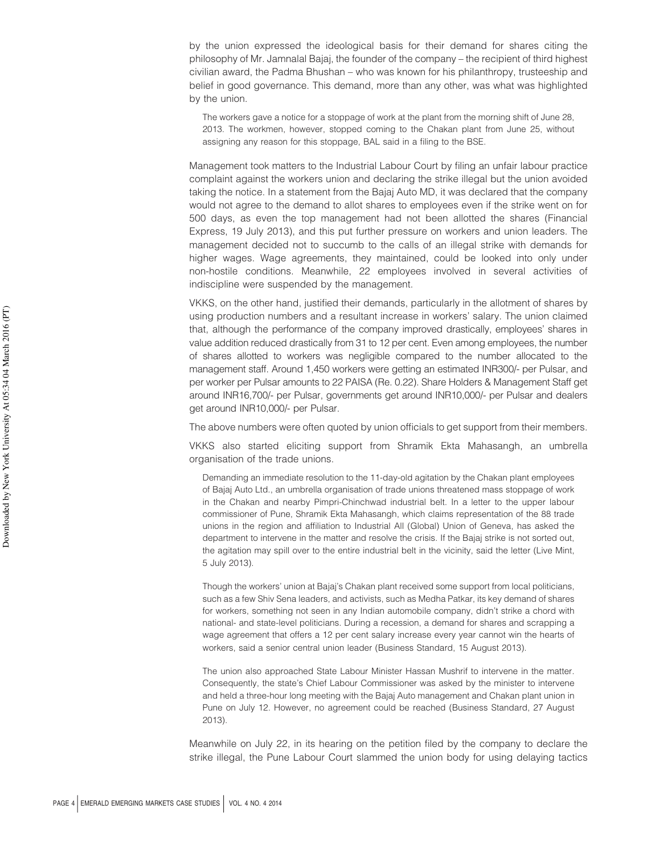by the union expressed the ideological basis for their demand for shares citing the philosophy of Mr. Jamnalal Bajaj, the founder of the company – the recipient of third highest civilian award, the Padma Bhushan – who was known for his philanthropy, trusteeship and belief in good governance. This demand, more than any other, was what was highlighted by the union.

The workers gave a notice for a stoppage of work at the plant from the morning shift of June 28, 2013. The workmen, however, stopped coming to the Chakan plant from June 25, without assigning any reason for this stoppage, BAL said in a filing to the BSE.

Management took matters to the Industrial Labour Court by filing an unfair labour practice complaint against the workers union and declaring the strike illegal but the union avoided taking the notice. In a statement from the Bajaj Auto MD, it was declared that the company would not agree to the demand to allot shares to employees even if the strike went on for 500 days, as even the top management had not been allotted the shares (Financial Express, 19 July 2013), and this put further pressure on workers and union leaders. The management decided not to succumb to the calls of an illegal strike with demands for higher wages. Wage agreements, they maintained, could be looked into only under non-hostile conditions. Meanwhile, 22 employees involved in several activities of indiscipline were suspended by the management.

VKKS, on the other hand, justified their demands, particularly in the allotment of shares by using production numbers and a resultant increase in workers' salary. The union claimed that, although the performance of the company improved drastically, employees' shares in value addition reduced drastically from 31 to 12 per cent. Even among employees, the number of shares allotted to workers was negligible compared to the number allocated to the management staff. Around 1,450 workers were getting an estimated INR300/- per Pulsar, and per worker per Pulsar amounts to 22 PAISA (Re. 0.22). Share Holders & Management Staff get around INR16,700/- per Pulsar, governments get around INR10,000/- per Pulsar and dealers get around INR10,000/- per Pulsar.

The above numbers were often quoted by union officials to get support from their members.

VKKS also started eliciting support from Shramik Ekta Mahasangh, an umbrella organisation of the trade unions.

Demanding an immediate resolution to the 11-day-old agitation by the Chakan plant employees of Bajaj Auto Ltd., an umbrella organisation of trade unions threatened mass stoppage of work in the Chakan and nearby Pimpri-Chinchwad industrial belt. In a letter to the upper labour commissioner of Pune, Shramik Ekta Mahasangh, which claims representation of the 88 trade unions in the region and affiliation to Industrial All (Global) Union of Geneva, has asked the department to intervene in the matter and resolve the crisis. If the Bajaj strike is not sorted out, the agitation may spill over to the entire industrial belt in the vicinity, said the letter (Live Mint, 5 July 2013).

Though the workers' union at Bajaj's Chakan plant received some support from local politicians, such as a few Shiv Sena leaders, and activists, such as Medha Patkar, its key demand of shares for workers, something not seen in any Indian automobile company, didn't strike a chord with national- and state-level politicians. During a recession, a demand for shares and scrapping a wage agreement that offers a 12 per cent salary increase every year cannot win the hearts of workers, said a senior central union leader (Business Standard, 15 August 2013).

The union also approached State Labour Minister Hassan Mushrif to intervene in the matter. Consequently, the state's Chief Labour Commissioner was asked by the minister to intervene and held a three-hour long meeting with the Bajaj Auto management and Chakan plant union in Pune on July 12. However, no agreement could be reached (Business Standard, 27 August 2013).

Meanwhile on July 22, in its hearing on the petition filed by the company to declare the strike illegal, the Pune Labour Court slammed the union body for using delaying tactics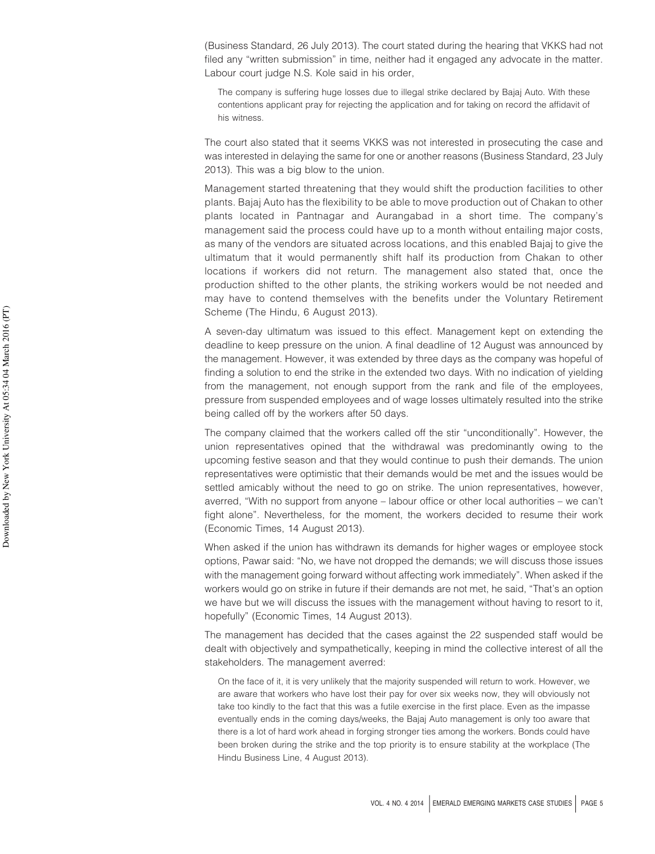(Business Standard, 26 July 2013). The court stated during the hearing that VKKS had not filed any "written submission" in time, neither had it engaged any advocate in the matter. Labour court judge N.S. Kole said in his order,

The company is suffering huge losses due to illegal strike declared by Bajaj Auto. With these contentions applicant pray for rejecting the application and for taking on record the affidavit of his witness.

The court also stated that it seems VKKS was not interested in prosecuting the case and was interested in delaying the same for one or another reasons (Business Standard, 23 July 2013). This was a big blow to the union.

Management started threatening that they would shift the production facilities to other plants. Bajaj Auto has the flexibility to be able to move production out of Chakan to other plants located in Pantnagar and Aurangabad in a short time. The company's management said the process could have up to a month without entailing major costs, as many of the vendors are situated across locations, and this enabled Bajaj to give the ultimatum that it would permanently shift half its production from Chakan to other locations if workers did not return. The management also stated that, once the production shifted to the other plants, the striking workers would be not needed and may have to contend themselves with the benefits under the Voluntary Retirement Scheme (The Hindu, 6 August 2013).

A seven-day ultimatum was issued to this effect. Management kept on extending the deadline to keep pressure on the union. A final deadline of 12 August was announced by the management. However, it was extended by three days as the company was hopeful of finding a solution to end the strike in the extended two days. With no indication of yielding from the management, not enough support from the rank and file of the employees, pressure from suspended employees and of wage losses ultimately resulted into the strike being called off by the workers after 50 days.

The company claimed that the workers called off the stir "unconditionally". However, the union representatives opined that the withdrawal was predominantly owing to the upcoming festive season and that they would continue to push their demands. The union representatives were optimistic that their demands would be met and the issues would be settled amicably without the need to go on strike. The union representatives, however, averred, "With no support from anyone – labour office or other local authorities – we can't fight alone". Nevertheless, for the moment, the workers decided to resume their work (Economic Times, 14 August 2013).

When asked if the union has withdrawn its demands for higher wages or employee stock options, Pawar said: "No, we have not dropped the demands; we will discuss those issues with the management going forward without affecting work immediately". When asked if the workers would go on strike in future if their demands are not met, he said, "That's an option we have but we will discuss the issues with the management without having to resort to it, hopefully" (Economic Times, 14 August 2013).

The management has decided that the cases against the 22 suspended staff would be dealt with objectively and sympathetically, keeping in mind the collective interest of all the stakeholders. The management averred:

On the face of it, it is very unlikely that the majority suspended will return to work. However, we are aware that workers who have lost their pay for over six weeks now, they will obviously not take too kindly to the fact that this was a futile exercise in the first place. Even as the impasse eventually ends in the coming days/weeks, the Bajaj Auto management is only too aware that there is a lot of hard work ahead in forging stronger ties among the workers. Bonds could have been broken during the strike and the top priority is to ensure stability at the workplace (The Hindu Business Line, 4 August 2013).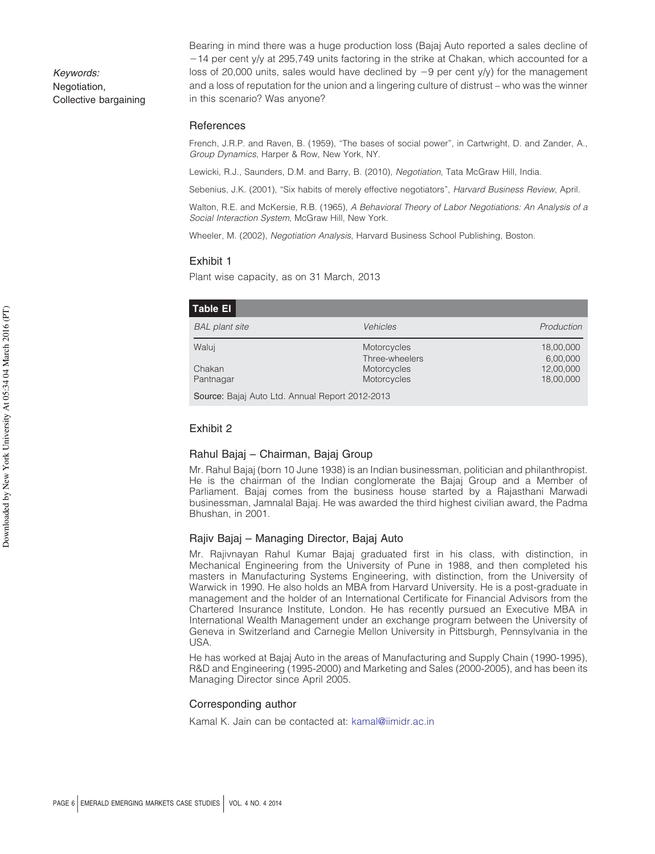Keywords: Negotiation, Collective bargaining

Bearing in mind there was a huge production loss (Bajaj Auto reported a sales decline of -14 per cent y/y at 295,749 units factoring in the strike at Chakan, which accounted for a loss of 20,000 units, sales would have declined by  $-9$  per cent y/y) for the management and a loss of reputation for the union and a lingering culture of distrust – who was the winner in this scenario? Was anyone?

## **References**

French, J.R.P. and Raven, B. (1959), "The bases of social power", in Cartwright, D. and Zander, A., *Group Dynamics*, Harper & Row, New York, NY.

Lewicki, R.J., Saunders, D.M. and Barry, B. (2010), *Negotiation*, Tata McGraw Hill, India.

Sebenius, J.K. (2001), "Six habits of merely effective negotiators", *Harvard Business Review*, April.

Walton, R.E. and McKersie, R.B. (1965), A Behavioral Theory of Labor Negotiations: An Analysis of a *Social Interaction System*, McGraw Hill, New York.

Wheeler, M. (2002), *Negotiation Analysis*, Harvard Business School Publishing, Boston.

## Exhibit 1

Plant wise capacity, as on 31 March, 2013

| Table El                                        |                                      |                        |
|-------------------------------------------------|--------------------------------------|------------------------|
| <b>BAL</b> plant site                           | <b>Vehicles</b>                      | Production             |
| Waluj                                           | <b>Motorcycles</b><br>Three-wheelers | 18,00,000<br>6,00,000  |
| Chakan<br>Pantnagar                             | Motorcycles<br>Motorcycles           | 12,00,000<br>18,00,000 |
| Source: Bajaj Auto Ltd. Annual Report 2012-2013 |                                      |                        |

#### Exhibit 2

#### Rahul Bajaj – Chairman, Bajaj Group

Mr. Rahul Bajaj (born 10 June 1938) is an Indian businessman, politician and philanthropist. He is the chairman of the Indian conglomerate the Bajaj Group and a Member of Parliament. Bajaj comes from the business house started by a Rajasthani Marwadi businessman, Jamnalal Bajaj. He was awarded the third highest civilian award, the Padma Bhushan, in 2001.

## Rajiv Bajaj – Managing Director, Bajaj Auto

Mr. Rajivnayan Rahul Kumar Bajaj graduated first in his class, with distinction, in Mechanical Engineering from the University of Pune in 1988, and then completed his masters in Manufacturing Systems Engineering, with distinction, from the University of Warwick in 1990. He also holds an MBA from Harvard University. He is a post-graduate in management and the holder of an International Certificate for Financial Advisors from the Chartered Insurance Institute, London. He has recently pursued an Executive MBA in International Wealth Management under an exchange program between the University of Geneva in Switzerland and Carnegie Mellon University in Pittsburgh, Pennsylvania in the USA.

He has worked at Bajaj Auto in the areas of Manufacturing and Supply Chain (1990-1995), R&D and Engineering (1995-2000) and Marketing and Sales (2000-2005), and has been its Managing Director since April 2005.

#### Corresponding author

Kamal K. Jain can be contacted at: [kamal@iimidr.ac.in](mailto:kamal@iimidr.ac.in)